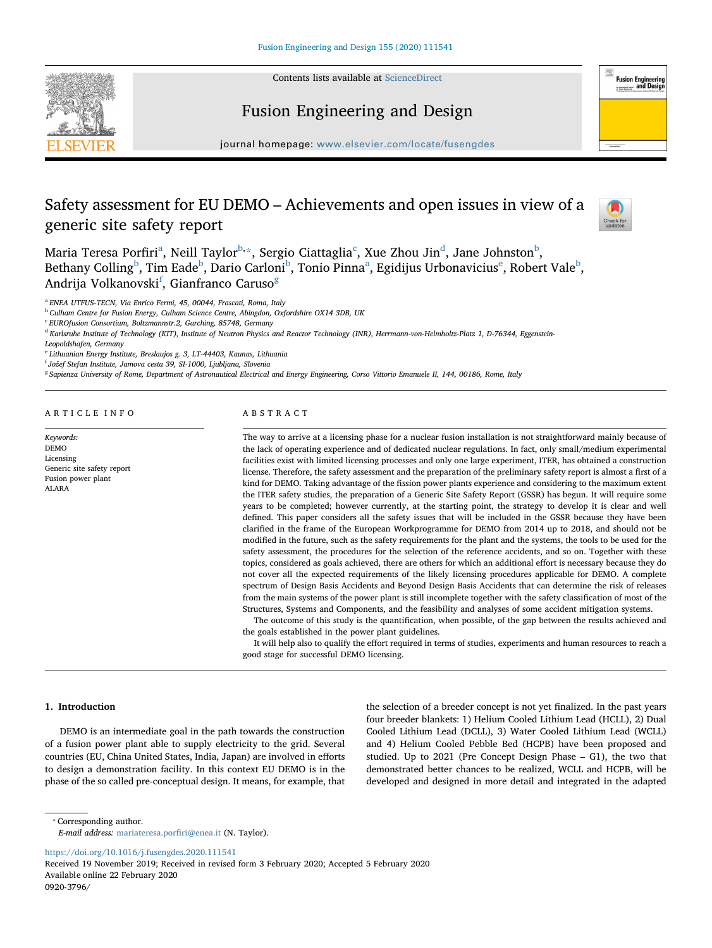



Fusion Engineering and Design

journal homepage: [www.elsevier.com/locate/fusengdes](https://www.elsevier.com/locate/fusengdes)

# Safety assessment for EU DEMO – Achievements and open issues in view of a generic site safety report



Mar[ia](#page-0-0) Teresa Porfiri<sup>a</sup>, Neill Taylor<sup>[b](#page-0-1),</sup>[\\*,](#page-0-2) Sergio Ciattaglia<sup>[c](#page-0-3)</sup>, Xue Zhou Jin<sup>d</sup>, Jane Johnston<sup>b</sup>, Beth[a](#page-0-0)ny Colling $^{\rm b}$  $^{\rm b}$  $^{\rm b}$ , Tim Ead[e](#page-0-5) $^{\rm b}$ , Dario Carloni $^{\rm b}$ , Tonio Pinna $^{\rm a}$ , Egidijus Urbonavicius $^{\rm e}$ , Robert Vale $^{\rm b}$ , Andrija Volkanovski<sup>[f](#page-0-6)</sup>, Gianfranco Caruso<sup>[g](#page-0-7)</sup>

<span id="page-0-0"></span><sup>a</sup> ENEA UTFUS-TECN, Via Enrico Fermi, 45, 00044, Frascati, Roma, Italy

<span id="page-0-1"></span><sup>b</sup> Culham Centre for Fusion Energy, Culham Science Centre, Abingdon, Oxfordshire OX14 3DB, UK

<span id="page-0-3"></span><sup>c</sup> EUROfusion Consortium, Boltzmannstr.2, Garching, 85748, Germany

<span id="page-0-4"></span><sup>d</sup> Karlsruhe Institute of Technology (KIT), Institute of Neutron Physics and Reactor Technology (INR), Herrmann-von-Helmholtz-Platz 1, D-76344, Eggenstein-

Leopoldshafen, Germany

<span id="page-0-5"></span><sup>e</sup> Lithuanian Energy Institute, Breslaujos g. 3, LT-44403, Kaunas, Lithuania

<span id="page-0-6"></span><sup>f</sup> Jožef Stefan Institute, Jamova cesta 39, SI-1000, Ljubljana, Slovenia

<span id="page-0-7"></span><sup>g</sup> Sapienza University of Rome, Department of Astronautical Electrical and Energy Engineering, Corso Vittorio Emanuele II, 144, 00186, Rome, Italy

ARTICLE INFO

Keywords: DEMO Licensing Generic site safety report Fusion power plant ALARA

## ABSTRACT

The way to arrive at a licensing phase for a nuclear fusion installation is not straightforward mainly because of the lack of operating experience and of dedicated nuclear regulations. In fact, only small/medium experimental facilities exist with limited licensing processes and only one large experiment, ITER, has obtained a construction license. Therefore, the safety assessment and the preparation of the preliminary safety report is almost a first of a kind for DEMO. Taking advantage of the fission power plants experience and considering to the maximum extent the ITER safety studies, the preparation of a Generic Site Safety Report (GSSR) has begun. It will require some years to be completed; however currently, at the starting point, the strategy to develop it is clear and well defined. This paper considers all the safety issues that will be included in the GSSR because they have been clarified in the frame of the European Workprogramme for DEMO from 2014 up to 2018, and should not be modified in the future, such as the safety requirements for the plant and the systems, the tools to be used for the safety assessment, the procedures for the selection of the reference accidents, and so on. Together with these topics, considered as goals achieved, there are others for which an additional effort is necessary because they do not cover all the expected requirements of the likely licensing procedures applicable for DEMO. A complete spectrum of Design Basis Accidents and Beyond Design Basis Accidents that can determine the risk of releases from the main systems of the power plant is still incomplete together with the safety classification of most of the Structures, Systems and Components, and the feasibility and analyses of some accident mitigation systems.

The outcome of this study is the quantification, when possible, of the gap between the results achieved and the goals established in the power plant guidelines.

It will help also to qualify the effort required in terms of studies, experiments and human resources to reach a good stage for successful DEMO licensing.

#### 1. Introduction

DEMO is an intermediate goal in the path towards the construction of a fusion power plant able to supply electricity to the grid. Several countries (EU, China United States, India, Japan) are involved in efforts to design a demonstration facility. In this context EU DEMO is in the phase of the so called pre-conceptual design. It means, for example, that

the selection of a breeder concept is not yet finalized. In the past years four breeder blankets: 1) Helium Cooled Lithium Lead (HCLL), 2) Dual Cooled Lithium Lead (DCLL), 3) Water Cooled Lithium Lead (WCLL) and 4) Helium Cooled Pebble Bed (HCPB) have been proposed and studied. Up to 2021 (Pre Concept Design Phase – G1), the two that demonstrated better chances to be realized, WCLL and HCPB, will be developed and designed in more detail and integrated in the adapted

<span id="page-0-2"></span>⁎ Corresponding author.

<https://doi.org/10.1016/j.fusengdes.2020.111541>

E-mail address: [mariateresa.por](mailto:mariateresa.porfiri@enea.it)firi@enea.it (N. Taylor).

Received 19 November 2019; Received in revised form 3 February 2020; Accepted 5 February 2020 Available online 22 February 2020 0920-3796/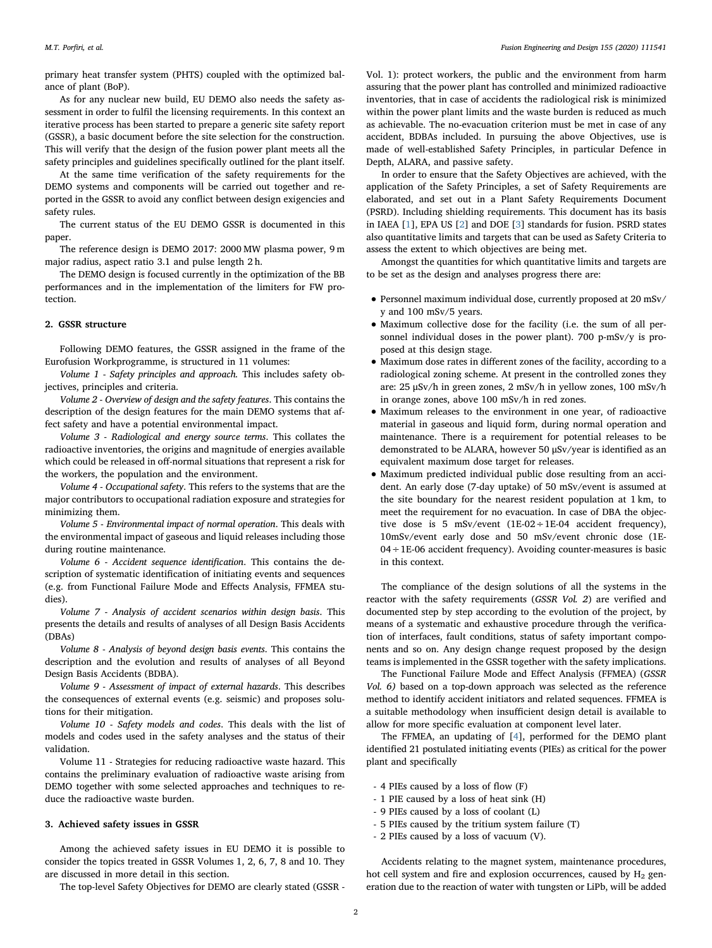primary heat transfer system (PHTS) coupled with the optimized balance of plant (BoP).

As for any nuclear new build, EU DEMO also needs the safety assessment in order to fulfil the licensing requirements. In this context an iterative process has been started to prepare a generic site safety report (GSSR), a basic document before the site selection for the construction. This will verify that the design of the fusion power plant meets all the safety principles and guidelines specifically outlined for the plant itself.

At the same time verification of the safety requirements for the DEMO systems and components will be carried out together and reported in the GSSR to avoid any conflict between design exigencies and safety rules.

The current status of the EU DEMO GSSR is documented in this paper.

The reference design is DEMO 2017: 2000 MW plasma power, 9 m major radius, aspect ratio 3.1 and pulse length 2 h.

The DEMO design is focused currently in the optimization of the BB performances and in the implementation of the limiters for FW protection.

#### 2. GSSR structure

Following DEMO features, the GSSR assigned in the frame of the Eurofusion Workprogramme, is structured in 11 volumes:

Volume 1 - Safety principles and approach. This includes safety objectives, principles and criteria.

Volume 2 - Overview of design and the safety features. This contains the description of the design features for the main DEMO systems that affect safety and have a potential environmental impact.

Volume 3 - Radiological and energy source terms. This collates the radioactive inventories, the origins and magnitude of energies available which could be released in off-normal situations that represent a risk for the workers, the population and the environment.

Volume 4 - Occupational safety. This refers to the systems that are the major contributors to occupational radiation exposure and strategies for minimizing them.

Volume 5 - Environmental impact of normal operation. This deals with the environmental impact of gaseous and liquid releases including those during routine maintenance.

Volume 6 - Accident sequence identification. This contains the description of systematic identification of initiating events and sequences (e.g. from Functional Failure Mode and Effects Analysis, FFMEA studies).

Volume 7 - Analysis of accident scenarios within design basis. This presents the details and results of analyses of all Design Basis Accidents (DBAs)

Volume 8 - Analysis of beyond design basis events. This contains the description and the evolution and results of analyses of all Beyond Design Basis Accidents (BDBA).

Volume 9 - Assessment of impact of external hazards. This describes the consequences of external events (e.g. seismic) and proposes solutions for their mitigation.

Volume 10 - Safety models and codes. This deals with the list of models and codes used in the safety analyses and the status of their validation.

Volume 11 - Strategies for reducing radioactive waste hazard. This contains the preliminary evaluation of radioactive waste arising from DEMO together with some selected approaches and techniques to reduce the radioactive waste burden.

#### 3. Achieved safety issues in GSSR

Among the achieved safety issues in EU DEMO it is possible to consider the topics treated in GSSR Volumes 1, 2, 6, 7, 8 and 10. They are discussed in more detail in this section.

The top-level Safety Objectives for DEMO are clearly stated (GSSR -

Vol. 1): protect workers, the public and the environment from harm assuring that the power plant has controlled and minimized radioactive inventories, that in case of accidents the radiological risk is minimized within the power plant limits and the waste burden is reduced as much as achievable. The no-evacuation criterion must be met in case of any accident, BDBAs included. In pursuing the above Objectives, use is made of well-established Safety Principles, in particular Defence in Depth, ALARA, and passive safety.

In order to ensure that the Safety Objectives are achieved, with the application of the Safety Principles, a set of Safety Requirements are elaborated, and set out in a Plant Safety Requirements Document (PSRD). Including shielding requirements. This document has its basis in IAEA [[1](#page-4-0)], EPA US [\[2\]](#page-4-1) and DOE [\[3\]](#page-4-2) standards for fusion. PSRD states also quantitative limits and targets that can be used as Safety Criteria to assess the extent to which objectives are being met.

Amongst the quantities for which quantitative limits and targets are to be set as the design and analyses progress there are:

- Personnel maximum individual dose, currently proposed at 20 mSv/ y and 100 mSv/5 years.
- Maximum collective dose for the facility (i.e. the sum of all personnel individual doses in the power plant). 700 p-mSv/y is proposed at this design stage.
- Maximum dose rates in different zones of the facility, according to a radiological zoning scheme. At present in the controlled zones they are: 25 μSv/h in green zones, 2 mSv/h in yellow zones, 100 mSv/h in orange zones, above 100 mSv/h in red zones.
- Maximum releases to the environment in one year, of radioactive material in gaseous and liquid form, during normal operation and maintenance. There is a requirement for potential releases to be demonstrated to be ALARA, however 50 μSv/year is identified as an equivalent maximum dose target for releases.
- Maximum predicted individual public dose resulting from an accident. An early dose (7-day uptake) of 50 mSv/event is assumed at the site boundary for the nearest resident population at 1 km, to meet the requirement for no evacuation. In case of DBA the objective dose is 5 mSv/event (1E-02÷1E-04 accident frequency), 10mSv/event early dose and 50 mSv/event chronic dose (1E- $04 \div 1E$ -06 accident frequency). Avoiding counter-measures is basic in this context.

The compliance of the design solutions of all the systems in the reactor with the safety requirements (GSSR Vol. 2) are verified and documented step by step according to the evolution of the project, by means of a systematic and exhaustive procedure through the verification of interfaces, fault conditions, status of safety important components and so on. Any design change request proposed by the design teams is implemented in the GSSR together with the safety implications.

The Functional Failure Mode and Effect Analysis (FFMEA) (GSSR Vol. 6) based on a top-down approach was selected as the reference method to identify accident initiators and related sequences. FFMEA is a suitable methodology when insufficient design detail is available to allow for more specific evaluation at component level later.

The FFMEA, an updating of [\[4\]](#page-4-3), performed for the DEMO plant identified 21 postulated initiating events (PIEs) as critical for the power plant and specifically

- 4 PIEs caused by a loss of flow (F)
- 1 PIE caused by a loss of heat sink (H)
- 9 PIEs caused by a loss of coolant (L)
- 5 PIEs caused by the tritium system failure (T)
- 2 PIEs caused by a loss of vacuum (V).

Accidents relating to the magnet system, maintenance procedures, hot cell system and fire and explosion occurrences, caused by  $H_2$  generation due to the reaction of water with tungsten or LiPb, will be added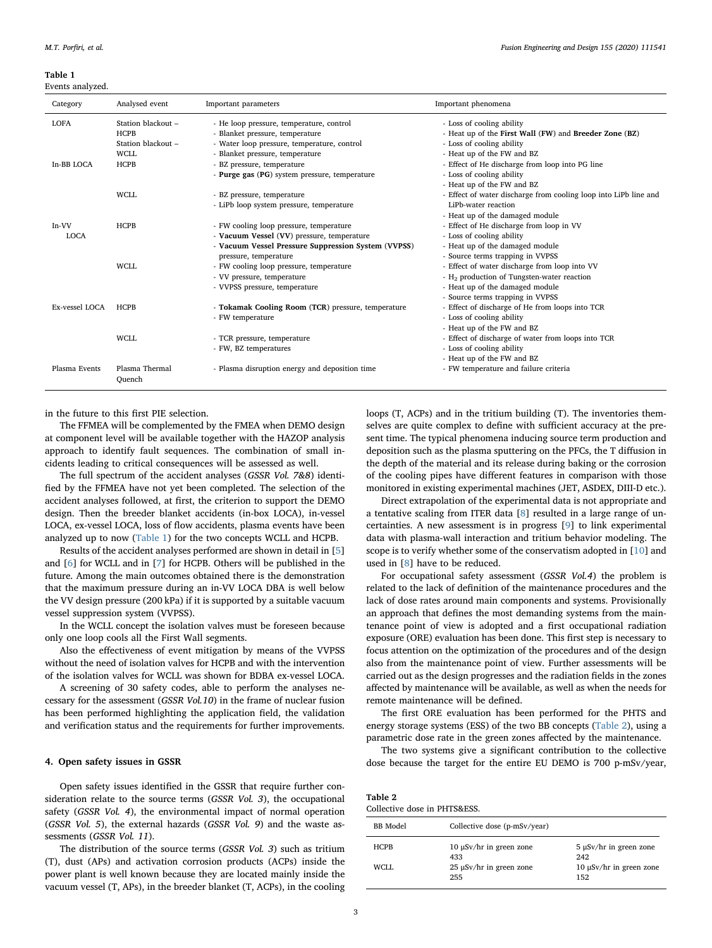<span id="page-2-0"></span>Table 1

Events analyzed.

| Category                  | Analysed event                                                                        | Important parameters                                                                                                                                                                                                                         | Important phenomena                                                                                                                                                                                                                                          |
|---------------------------|---------------------------------------------------------------------------------------|----------------------------------------------------------------------------------------------------------------------------------------------------------------------------------------------------------------------------------------------|--------------------------------------------------------------------------------------------------------------------------------------------------------------------------------------------------------------------------------------------------------------|
| <b>LOFA</b><br>In-BB LOCA | Station blackout -<br><b>HCPB</b><br>Station blackout -<br><b>WCLL</b><br><b>HCPB</b> | - He loop pressure, temperature, control<br>- Blanket pressure, temperature<br>- Water loop pressure, temperature, control<br>- Blanket pressure, temperature<br>- BZ pressure, temperature<br>- Purge gas (PG) system pressure, temperature | - Loss of cooling ability<br>- Heat up of the First Wall (FW) and Breeder Zone (BZ)<br>- Loss of cooling ability<br>- Heat up of the FW and BZ<br>- Effect of He discharge from loop into PG line<br>- Loss of cooling ability<br>- Heat up of the FW and BZ |
|                           | WCLL                                                                                  | - BZ pressure, temperature<br>- LiPb loop system pressure, temperature                                                                                                                                                                       | - Effect of water discharge from cooling loop into LiPb line and<br>LiPb-water reaction<br>- Heat up of the damaged module                                                                                                                                   |
| In-VV<br><b>LOCA</b>      | <b>HCPB</b>                                                                           | - FW cooling loop pressure, temperature<br>- Vacuum Vessel (VV) pressure, temperature<br>- Vacuum Vessel Pressure Suppression System (VVPSS)<br>pressure, temperature                                                                        | - Effect of He discharge from loop in VV<br>- Loss of cooling ability<br>- Heat up of the damaged module<br>- Source terms trapping in VVPSS                                                                                                                 |
|                           | <b>WCLL</b>                                                                           | - FW cooling loop pressure, temperature<br>- VV pressure, temperature<br>- VVPSS pressure, temperature                                                                                                                                       | - Effect of water discharge from loop into VV<br>$- H2$ production of Tungsten-water reaction<br>- Heat up of the damaged module<br>- Source terms trapping in VVPSS                                                                                         |
| Ex-vessel LOCA            | <b>HCPB</b>                                                                           | - Tokamak Cooling Room (TCR) pressure, temperature<br>- FW temperature                                                                                                                                                                       | - Effect of discharge of He from loops into TCR<br>- Loss of cooling ability<br>- Heat up of the FW and BZ                                                                                                                                                   |
|                           | <b>WCLL</b>                                                                           | - TCR pressure, temperature<br>- FW, BZ temperatures                                                                                                                                                                                         | - Effect of discharge of water from loops into TCR<br>- Loss of cooling ability<br>- Heat up of the FW and BZ                                                                                                                                                |
| Plasma Events             | Plasma Thermal<br>Ouench                                                              | - Plasma disruption energy and deposition time                                                                                                                                                                                               | - FW temperature and failure criteria                                                                                                                                                                                                                        |

in the future to this first PIE selection.

The FFMEA will be complemented by the FMEA when DEMO design at component level will be available together with the HAZOP analysis approach to identify fault sequences. The combination of small incidents leading to critical consequences will be assessed as well.

The full spectrum of the accident analyses (GSSR Vol. 7&8) identified by the FFMEA have not yet been completed. The selection of the accident analyses followed, at first, the criterion to support the DEMO design. Then the breeder blanket accidents (in-box LOCA), in-vessel LOCA, ex-vessel LOCA, loss of flow accidents, plasma events have been analyzed up to now ([Table 1](#page-2-0)) for the two concepts WCLL and HCPB.

Results of the accident analyses performed are shown in detail in [[5](#page-4-4)] and [[6](#page-4-5)] for WCLL and in [[7](#page-4-6)] for HCPB. Others will be published in the future. Among the main outcomes obtained there is the demonstration that the maximum pressure during an in-VV LOCA DBA is well below the VV design pressure (200 kPa) if it is supported by a suitable vacuum vessel suppression system (VVPSS).

In the WCLL concept the isolation valves must be foreseen because only one loop cools all the First Wall segments.

Also the effectiveness of event mitigation by means of the VVPSS without the need of isolation valves for HCPB and with the intervention of the isolation valves for WCLL was shown for BDBA ex-vessel LOCA.

A screening of 30 safety codes, able to perform the analyses necessary for the assessment (GSSR Vol.10) in the frame of nuclear fusion has been performed highlighting the application field, the validation and verification status and the requirements for further improvements.

## 4. Open safety issues in GSSR

Open safety issues identified in the GSSR that require further consideration relate to the source terms (GSSR Vol. 3), the occupational safety (GSSR Vol. 4), the environmental impact of normal operation (GSSR Vol. 5), the external hazards (GSSR Vol. 9) and the waste assessments (GSSR Vol. 11).

The distribution of the source terms (GSSR Vol. 3) such as tritium (T), dust (APs) and activation corrosion products (ACPs) inside the power plant is well known because they are located mainly inside the vacuum vessel (T, APs), in the breeder blanket (T, ACPs), in the cooling loops (T, ACPs) and in the tritium building (T). The inventories themselves are quite complex to define with sufficient accuracy at the present time. The typical phenomena inducing source term production and deposition such as the plasma sputtering on the PFCs, the T diffusion in the depth of the material and its release during baking or the corrosion of the cooling pipes have different features in comparison with those monitored in existing experimental machines (JET, ASDEX, DIII-D etc.).

Direct extrapolation of the experimental data is not appropriate and a tentative scaling from ITER data [\[8\]](#page-4-7) resulted in a large range of uncertainties. A new assessment is in progress [[9](#page-4-8)] to link experimental data with plasma-wall interaction and tritium behavior modeling. The scope is to verify whether some of the conservatism adopted in [\[10](#page-4-9)] and used in [\[8\]](#page-4-7) have to be reduced.

For occupational safety assessment (GSSR Vol.4) the problem is related to the lack of definition of the maintenance procedures and the lack of dose rates around main components and systems. Provisionally an approach that defines the most demanding systems from the maintenance point of view is adopted and a first occupational radiation exposure (ORE) evaluation has been done. This first step is necessary to focus attention on the optimization of the procedures and of the design also from the maintenance point of view. Further assessments will be carried out as the design progresses and the radiation fields in the zones affected by maintenance will be available, as well as when the needs for remote maintenance will be defined.

The first ORE evaluation has been performed for the PHTS and energy storage systems (ESS) of the two BB concepts [\(Table 2\)](#page-2-1), using a parametric dose rate in the green zones affected by the maintenance.

The two systems give a significant contribution to the collective dose because the target for the entire EU DEMO is 700 p-mSv/year,

<span id="page-2-1"></span>

| Table 2                      |  |
|------------------------------|--|
| Collective dose in PHTS&ESS. |  |

| BB Model    | Collective dose (p-mSv/year)        |                                    |
|-------------|-------------------------------------|------------------------------------|
| <b>HCPB</b> | $10 \mu Sv/hr$ in green zone<br>433 | $5 \mu Sv/hr$ in green zone<br>242 |
| WCLL.       | $25 \mu Sv/hr$ in green zone<br>255 | 10 μSv/hr in green zone<br>152     |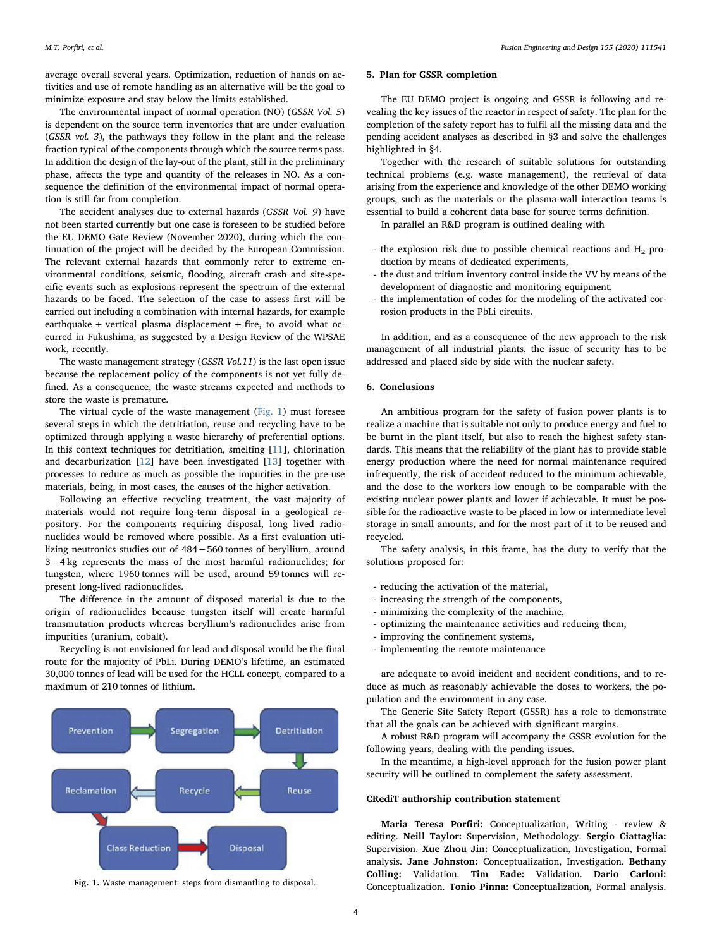average overall several years. Optimization, reduction of hands on activities and use of remote handling as an alternative will be the goal to minimize exposure and stay below the limits established.

The environmental impact of normal operation (NO) (GSSR Vol. 5) is dependent on the source term inventories that are under evaluation (GSSR vol. 3), the pathways they follow in the plant and the release fraction typical of the components through which the source terms pass. In addition the design of the lay-out of the plant, still in the preliminary phase, affects the type and quantity of the releases in NO. As a consequence the definition of the environmental impact of normal operation is still far from completion.

The accident analyses due to external hazards (GSSR Vol. 9) have not been started currently but one case is foreseen to be studied before the EU DEMO Gate Review (November 2020), during which the continuation of the project will be decided by the European Commission. The relevant external hazards that commonly refer to extreme environmental conditions, seismic, flooding, aircraft crash and site-specific events such as explosions represent the spectrum of the external hazards to be faced. The selection of the case to assess first will be carried out including a combination with internal hazards, for example earthquake + vertical plasma displacement + fire, to avoid what occurred in Fukushima, as suggested by a Design Review of the WPSAE work, recently.

The waste management strategy (GSSR Vol.11) is the last open issue because the replacement policy of the components is not yet fully defined. As a consequence, the waste streams expected and methods to store the waste is premature.

The virtual cycle of the waste management [\(Fig. 1\)](#page-3-0) must foresee several steps in which the detritiation, reuse and recycling have to be optimized through applying a waste hierarchy of preferential options. In this context techniques for detritiation, smelting [[11\]](#page-4-10), chlorination and decarburization [[12\]](#page-4-11) have been investigated [[13\]](#page-4-12) together with processes to reduce as much as possible the impurities in the pre-use materials, being, in most cases, the causes of the higher activation.

Following an effective recycling treatment, the vast majority of materials would not require long-term disposal in a geological repository. For the components requiring disposal, long lived radionuclides would be removed where possible. As a first evaluation utilizing neutronics studies out of 484−560 tonnes of beryllium, around 3−4 kg represents the mass of the most harmful radionuclides; for tungsten, where 1960 tonnes will be used, around 59 tonnes will represent long-lived radionuclides.

The difference in the amount of disposed material is due to the origin of radionuclides because tungsten itself will create harmful transmutation products whereas beryllium's radionuclides arise from impurities (uranium, cobalt).

Recycling is not envisioned for lead and disposal would be the final route for the majority of PbLi. During DEMO's lifetime, an estimated 30,000 tonnes of lead will be used for the HCLL concept, compared to a maximum of 210 tonnes of lithium.

<span id="page-3-0"></span>

# 5. Plan for GSSR completion

The EU DEMO project is ongoing and GSSR is following and revealing the key issues of the reactor in respect of safety. The plan for the completion of the safety report has to fulfil all the missing data and the pending accident analyses as described in §3 and solve the challenges highlighted in §4.

Together with the research of suitable solutions for outstanding technical problems (e.g. waste management), the retrieval of data arising from the experience and knowledge of the other DEMO working groups, such as the materials or the plasma-wall interaction teams is essential to build a coherent data base for source terms definition.

In parallel an R&D program is outlined dealing with

- the explosion risk due to possible chemical reactions and  $H_2$  production by means of dedicated experiments,
- the dust and tritium inventory control inside the VV by means of the development of diagnostic and monitoring equipment,
- the implementation of codes for the modeling of the activated corrosion products in the PbLi circuits.

In addition, and as a consequence of the new approach to the risk management of all industrial plants, the issue of security has to be addressed and placed side by side with the nuclear safety.

#### 6. Conclusions

An ambitious program for the safety of fusion power plants is to realize a machine that is suitable not only to produce energy and fuel to be burnt in the plant itself, but also to reach the highest safety standards. This means that the reliability of the plant has to provide stable energy production where the need for normal maintenance required infrequently, the risk of accident reduced to the minimum achievable, and the dose to the workers low enough to be comparable with the existing nuclear power plants and lower if achievable. It must be possible for the radioactive waste to be placed in low or intermediate level storage in small amounts, and for the most part of it to be reused and recycled.

The safety analysis, in this frame, has the duty to verify that the solutions proposed for:

- reducing the activation of the material,
- increasing the strength of the components,
- minimizing the complexity of the machine,
- optimizing the maintenance activities and reducing them,
- improving the confinement systems,
- implementing the remote maintenance

are adequate to avoid incident and accident conditions, and to reduce as much as reasonably achievable the doses to workers, the population and the environment in any case.

The Generic Site Safety Report (GSSR) has a role to demonstrate that all the goals can be achieved with significant margins.

A robust R&D program will accompany the GSSR evolution for the following years, dealing with the pending issues.

In the meantime, a high-level approach for the fusion power plant security will be outlined to complement the safety assessment.

### CRediT authorship contribution statement

Maria Teresa Porfiri: Conceptualization, Writing - review & editing. Neill Taylor: Supervision, Methodology. Sergio Ciattaglia: Supervision. Xue Zhou Jin: Conceptualization, Investigation, Formal analysis. Jane Johnston: Conceptualization, Investigation. Bethany Colling: Validation. Tim Eade: Validation. Dario Carloni: Fig. 1. Waste management: steps from dismantling to disposal. Conceptualization. Tonio Pinna: Conceptualization, Formal analysis.